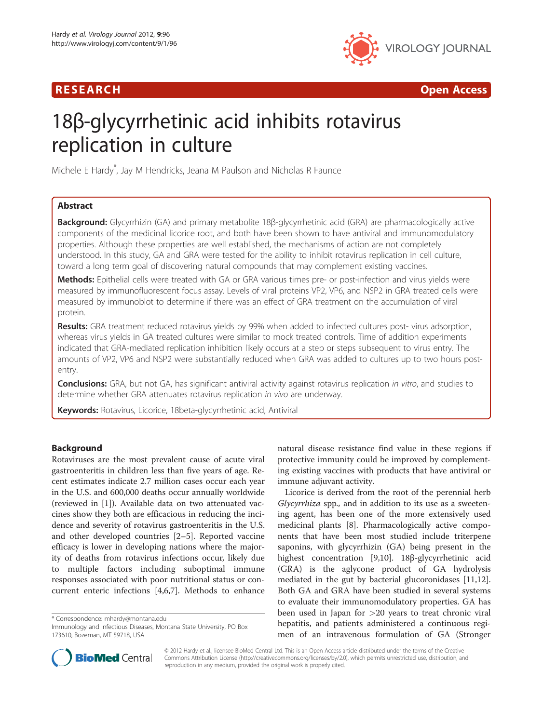# R E S EAR CH Open Access



# 18β-glycyrrhetinic acid inhibits rotavirus replication in culture

Michele E Hardy\* , Jay M Hendricks, Jeana M Paulson and Nicholas R Faunce

# Abstract

Background: Glycyrrhizin (GA) and primary metabolite 18β-glycyrrhetinic acid (GRA) are pharmacologically active components of the medicinal licorice root, and both have been shown to have antiviral and immunomodulatory properties. Although these properties are well established, the mechanisms of action are not completely understood. In this study, GA and GRA were tested for the ability to inhibit rotavirus replication in cell culture, toward a long term goal of discovering natural compounds that may complement existing vaccines.

Methods: Epithelial cells were treated with GA or GRA various times pre- or post-infection and virus yields were measured by immunofluorescent focus assay. Levels of viral proteins VP2, VP6, and NSP2 in GRA treated cells were measured by immunoblot to determine if there was an effect of GRA treatment on the accumulation of viral protein.

Results: GRA treatment reduced rotavirus yields by 99% when added to infected cultures post- virus adsorption, whereas virus yields in GA treated cultures were similar to mock treated controls. Time of addition experiments indicated that GRA-mediated replication inhibition likely occurs at a step or steps subsequent to virus entry. The amounts of VP2, VP6 and NSP2 were substantially reduced when GRA was added to cultures up to two hours postentry.

Conclusions: GRA, but not GA, has significant antiviral activity against rotavirus replication in vitro, and studies to determine whether GRA attenuates rotavirus replication in vivo are underway.

Keywords: Rotavirus, Licorice, 18beta-glycyrrhetinic acid, Antiviral

# Background

Rotaviruses are the most prevalent cause of acute viral gastroenteritis in children less than five years of age. Recent estimates indicate 2.7 million cases occur each year in the U.S. and 600,000 deaths occur annually worldwide (reviewed in [[1\]](#page-5-0)). Available data on two attenuated vaccines show they both are efficacious in reducing the incidence and severity of rotavirus gastroenteritis in the U.S. and other developed countries [\[2](#page-5-0)–[5](#page-5-0)]. Reported vaccine efficacy is lower in developing nations where the majority of deaths from rotavirus infections occur, likely due to multiple factors including suboptimal immune responses associated with poor nutritional status or concurrent enteric infections [[4,6,7\]](#page-5-0). Methods to enhance

\* Correspondence: [mhardy@montana.edu](mailto:mhardy@montana.edu)



Licorice is derived from the root of the perennial herb Glycyrrhiza spp., and in addition to its use as a sweetening agent, has been one of the more extensively used medicinal plants [[8\]](#page-5-0). Pharmacologically active components that have been most studied include triterpene saponins, with glycyrrhizin (GA) being present in the highest concentration [[9,10\]](#page-5-0). 18β-glycyrrhetinic acid (GRA) is the aglycone product of GA hydrolysis mediated in the gut by bacterial glucoronidases [\[11,12](#page-5-0)]. Both GA and GRA have been studied in several systems to evaluate their immunomodulatory properties. GA has been used in Japan for >20 years to treat chronic viral hepatitis, and patients administered a continuous regimen of an intravenous formulation of GA (Stronger



© 2012 Hardy et al.; licensee BioMed Central Ltd. This is an Open Access article distributed under the terms of the Creative Commons Attribution License [\(http://creativecommons.org/licenses/by/2.0\)](http://creativecommons.org/licenses/by/2.0), which permits unrestricted use, distribution, and reproduction in any medium, provided the original work is properly cited.

Immunology and Infectious Diseases, Montana State University, PO Box 173610, Bozeman, MT 59718, USA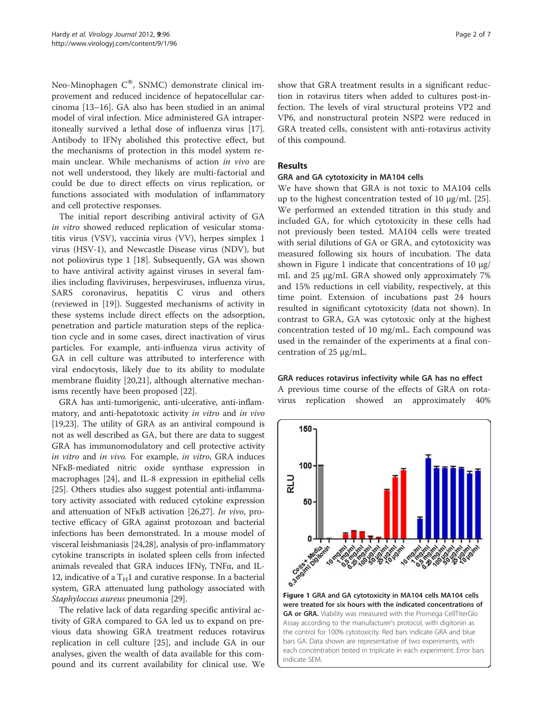Neo-Minophagen  $C^{\circledast}$ , SNMC) demonstrate clinical improvement and reduced incidence of hepatocellular carcinoma [\[13](#page-5-0)–[16\]](#page-6-0). GA also has been studied in an animal model of viral infection. Mice administered GA intraperitoneally survived a lethal dose of influenza virus [\[17](#page-6-0)]. Antibody to IFNγ abolished this protective effect, but the mechanisms of protection in this model system remain unclear. While mechanisms of action in vivo are not well understood, they likely are multi-factorial and could be due to direct effects on virus replication, or functions associated with modulation of inflammatory and cell protective responses.

The initial report describing antiviral activity of GA in vitro showed reduced replication of vesicular stomatitis virus (VSV), vaccinia virus (VV), herpes simplex 1 virus (HSV-1), and Newcastle Disease virus (NDV), but not poliovirus type 1 [[18\]](#page-6-0). Subsequently, GA was shown to have antiviral activity against viruses in several families including flaviviruses, herpesviruses, influenza virus, SARS coronavirus, hepatitis C virus and others (reviewed in [\[19](#page-6-0)]). Suggested mechanisms of activity in these systems include direct effects on the adsorption, penetration and particle maturation steps of the replication cycle and in some cases, direct inactivation of virus particles. For example, anti-influenza virus activity of GA in cell culture was attributed to interference with viral endocytosis, likely due to its ability to modulate membrane fluidity [\[20,21\]](#page-6-0), although alternative mechanisms recently have been proposed [[22\]](#page-6-0).

GRA has anti-tumorigenic, anti-ulcerative, anti-inflammatory, and anti-hepatotoxic activity in vitro and in vivo [[19,23](#page-6-0)]. The utility of GRA as an antiviral compound is not as well described as GA, but there are data to suggest GRA has immunomodulatory and cell protective activity in vitro and in vivo. For example, in vitro, GRA induces NFĸB-mediated nitric oxide synthase expression in macrophages [\[24\]](#page-6-0), and IL-8 expression in epithelial cells [[25](#page-6-0)]. Others studies also suggest potential anti-inflammatory activity associated with reduced cytokine expression and attenuation of NFKB activation [\[26,27](#page-6-0)]. In vivo, protective efficacy of GRA against protozoan and bacterial infections has been demonstrated. In a mouse model of visceral leishmaniasis [\[24,28](#page-6-0)], analysis of pro-inflammatory cytokine transcripts in isolated spleen cells from infected animals revealed that GRA induces IFNγ, TNFα, and IL-12, indicative of a  $T_H1$  and curative response. In a bacterial system, GRA attenuated lung pathology associated with Staphyloccus aureus pneumonia [[29](#page-6-0)].

The relative lack of data regarding specific antiviral activity of GRA compared to GA led us to expand on previous data showing GRA treatment reduces rotavirus replication in cell culture [[25\]](#page-6-0), and include GA in our analyses, given the wealth of data available for this compound and its current availability for clinical use. We

show that GRA treatment results in a significant reduction in rotavirus titers when added to cultures post-infection. The levels of viral structural proteins VP2 and VP6, and nonstructural protein NSP2 were reduced in GRA treated cells, consistent with anti-rotavirus activity of this compound.

## Results

#### GRA and GA cytotoxicity in MA104 cells

We have shown that GRA is not toxic to MA104 cells up to the highest concentration tested of 10 μg/mL [\[25](#page-6-0)]. We performed an extended titration in this study and included GA, for which cytotoxicity in these cells had not previously been tested. MA104 cells were treated with serial dilutions of GA or GRA, and cytotoxicity was measured following six hours of incubation. The data shown in Figure 1 indicate that concentrations of 10  $\mu$ g/ mL and 25 μg/mL GRA showed only approximately 7% and 15% reductions in cell viability, respectively, at this time point. Extension of incubations past 24 hours resulted in significant cytotoxicity (data not shown). In contrast to GRA, GA was cytotoxic only at the highest concentration tested of 10 mg/mL. Each compound was used in the remainder of the experiments at a final concentration of 25 μg/mL.

#### GRA reduces rotavirus infectivity while GA has no effect

A previous time course of the effects of GRA on rotavirus replication showed an approximately 40%



GA or GRA. Viability was measured with the Promega CellTiterGlo Assay according to the manufacturer's protocol, with digitonin as the control for 100% cytotoxicity. Red bars indicate GRA and blue bars GA. Data shown are representative of two experiments, with each concentration tested in triplicate in each experiment. Error bars indicate SEM.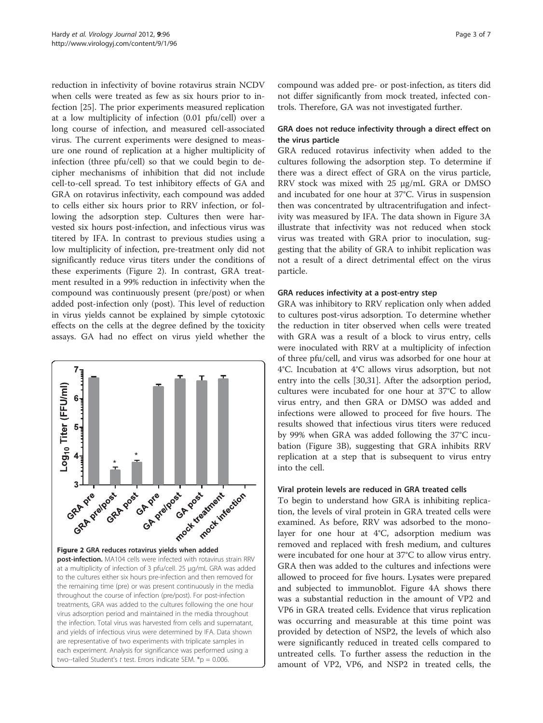reduction in infectivity of bovine rotavirus strain NCDV when cells were treated as few as six hours prior to infection [[25\]](#page-6-0). The prior experiments measured replication at a low multiplicity of infection (0.01 pfu/cell) over a long course of infection, and measured cell-associated virus. The current experiments were designed to measure one round of replication at a higher multiplicity of infection (three pfu/cell) so that we could begin to decipher mechanisms of inhibition that did not include cell-to-cell spread. To test inhibitory effects of GA and GRA on rotavirus infectivity, each compound was added to cells either six hours prior to RRV infection, or following the adsorption step. Cultures then were harvested six hours post-infection, and infectious virus was titered by IFA. In contrast to previous studies using a low multiplicity of infection, pre-treatment only did not significantly reduce virus titers under the conditions of these experiments (Figure 2). In contrast, GRA treatment resulted in a 99% reduction in infectivity when the compound was continuously present (pre/post) or when added post-infection only (post). This level of reduction in virus yields cannot be explained by simple cytotoxic effects on the cells at the degree defined by the toxicity assays. GA had no effect on virus yield whether the



compound was added pre- or post-infection, as titers did not differ significantly from mock treated, infected controls. Therefore, GA was not investigated further.

# GRA does not reduce infectivity through a direct effect on the virus particle

GRA reduced rotavirus infectivity when added to the cultures following the adsorption step. To determine if there was a direct effect of GRA on the virus particle, RRV stock was mixed with 25 μg/mL GRA or DMSO and incubated for one hour at 37°C. Virus in suspension then was concentrated by ultracentrifugation and infectivity was measured by IFA. The data shown in Figure [3A](#page-3-0) illustrate that infectivity was not reduced when stock virus was treated with GRA prior to inoculation, suggesting that the ability of GRA to inhibit replication was not a result of a direct detrimental effect on the virus particle.

## GRA reduces infectivity at a post-entry step

GRA was inhibitory to RRV replication only when added to cultures post-virus adsorption. To determine whether the reduction in titer observed when cells were treated with GRA was a result of a block to virus entry, cells were inoculated with RRV at a multiplicity of infection of three pfu/cell, and virus was adsorbed for one hour at 4°C. Incubation at 4°C allows virus adsorption, but not entry into the cells [[30,31](#page-6-0)]. After the adsorption period, cultures were incubated for one hour at 37°C to allow virus entry, and then GRA or DMSO was added and infections were allowed to proceed for five hours. The results showed that infectious virus titers were reduced by 99% when GRA was added following the 37°C incubation (Figure [3B](#page-3-0)), suggesting that GRA inhibits RRV replication at a step that is subsequent to virus entry into the cell.

#### Viral protein levels are reduced in GRA treated cells

To begin to understand how GRA is inhibiting replication, the levels of viral protein in GRA treated cells were examined. As before, RRV was adsorbed to the monolayer for one hour at 4°C, adsorption medium was removed and replaced with fresh medium, and cultures were incubated for one hour at 37°C to allow virus entry. GRA then was added to the cultures and infections were allowed to proceed for five hours. Lysates were prepared and subjected to immunoblot. Figure [4A](#page-3-0) shows there was a substantial reduction in the amount of VP2 and VP6 in GRA treated cells. Evidence that virus replication was occurring and measurable at this time point was provided by detection of NSP2, the levels of which also were significantly reduced in treated cells compared to untreated cells. To further assess the reduction in the amount of VP2, VP6, and NSP2 in treated cells, the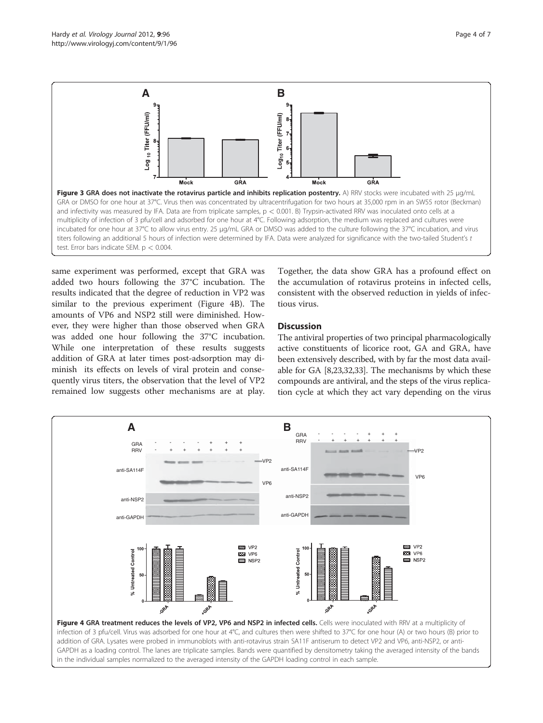<span id="page-3-0"></span>

same experiment was performed, except that GRA was added two hours following the 37°C incubation. The results indicated that the degree of reduction in VP2 was similar to the previous experiment (Figure 4B). The amounts of VP6 and NSP2 still were diminished. However, they were higher than those observed when GRA was added one hour following the 37°C incubation. While one interpretation of these results suggests addition of GRA at later times post-adsorption may diminish its effects on levels of viral protein and consequently virus titers, the observation that the level of VP2 remained low suggests other mechanisms are at play.

Together, the data show GRA has a profound effect on the accumulation of rotavirus proteins in infected cells, consistent with the observed reduction in yields of infectious virus.

# **Discussion**

The antiviral properties of two principal pharmacologically active constituents of licorice root, GA and GRA, have been extensively described, with by far the most data available for GA [[8](#page-5-0)[,23,32,33](#page-6-0)]. The mechanisms by which these compounds are antiviral, and the steps of the virus replication cycle at which they act vary depending on the virus

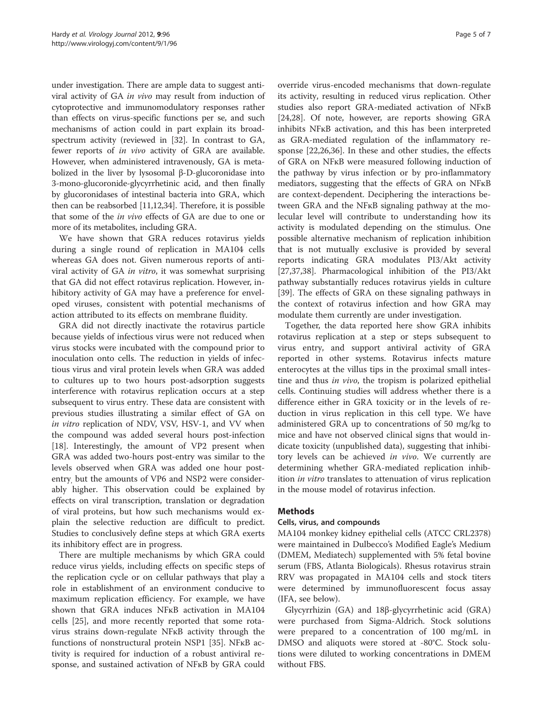under investigation. There are ample data to suggest antiviral activity of GA in vivo may result from induction of cytoprotective and immunomodulatory responses rather than effects on virus-specific functions per se, and such mechanisms of action could in part explain its broadspectrum activity (reviewed in [\[32\]](#page-6-0). In contrast to GA, fewer reports of *in vivo* activity of GRA are available. However, when administered intravenously, GA is metabolized in the liver by lysosomal β-D-glucoronidase into 3-mono-glucoronide-glycyrrhetinic acid, and then finally by glucoronidases of intestinal bacteria into GRA, which then can be reabsorbed [\[11,12](#page-5-0)[,34](#page-6-0)]. Therefore, it is possible that some of the in vivo effects of GA are due to one or more of its metabolites, including GRA.

We have shown that GRA reduces rotavirus yields during a single round of replication in MA104 cells whereas GA does not. Given numerous reports of antiviral activity of GA in vitro, it was somewhat surprising that GA did not effect rotavirus replication. However, inhibitory activity of GA may have a preference for enveloped viruses, consistent with potential mechanisms of action attributed to its effects on membrane fluidity.

GRA did not directly inactivate the rotavirus particle because yields of infectious virus were not reduced when virus stocks were incubated with the compound prior to inoculation onto cells. The reduction in yields of infectious virus and viral protein levels when GRA was added to cultures up to two hours post-adsorption suggests interference with rotavirus replication occurs at a step subsequent to virus entry. These data are consistent with previous studies illustrating a similar effect of GA on in vitro replication of NDV, VSV, HSV-1, and VV when the compound was added several hours post-infection [[18\]](#page-6-0). Interestingly, the amount of VP2 present when GRA was added two-hours post-entry was similar to the levels observed when GRA was added one hour postentry, but the amounts of VP6 and NSP2 were considerably higher. This observation could be explained by effects on viral transcription, translation or degradation of viral proteins, but how such mechanisms would explain the selective reduction are difficult to predict. Studies to conclusively define steps at which GRA exerts its inhibitory effect are in progress.

There are multiple mechanisms by which GRA could reduce virus yields, including effects on specific steps of the replication cycle or on cellular pathways that play a role in establishment of an environment conducive to maximum replication efficiency. For example, we have shown that GRA induces NFĸB activation in MA104 cells [\[25\]](#page-6-0), and more recently reported that some rotavirus strains down-regulate NFĸB activity through the functions of nonstructural protein NSP1 [\[35](#page-6-0)]. NFĸB activity is required for induction of a robust antiviral response, and sustained activation of NFĸB by GRA could

override virus-encoded mechanisms that down-regulate its activity, resulting in reduced virus replication. Other studies also report GRA-mediated activation of NFĸB [[24,28\]](#page-6-0). Of note, however, are reports showing GRA inhibits NFĸB activation, and this has been interpreted as GRA-mediated regulation of the inflammatory response [\[22,26,36\]](#page-6-0). In these and other studies, the effects of GRA on NFĸB were measured following induction of the pathway by virus infection or by pro-inflammatory mediators, suggesting that the effects of GRA on NFĸB are context-dependent. Deciphering the interactions between GRA and the NFĸB signaling pathway at the molecular level will contribute to understanding how its activity is modulated depending on the stimulus. One possible alternative mechanism of replication inhibition that is not mutually exclusive is provided by several reports indicating GRA modulates PI3/Akt activity [[27,37,38\]](#page-6-0). Pharmacological inhibition of the PI3/Akt pathway substantially reduces rotavirus yields in culture [[39\]](#page-6-0). The effects of GRA on these signaling pathways in the context of rotavirus infection and how GRA may modulate them currently are under investigation.

Together, the data reported here show GRA inhibits rotavirus replication at a step or steps subsequent to virus entry, and support antiviral activity of GRA reported in other systems. Rotavirus infects mature enterocytes at the villus tips in the proximal small intestine and thus in vivo, the tropism is polarized epithelial cells. Continuing studies will address whether there is a difference either in GRA toxicity or in the levels of reduction in virus replication in this cell type. We have administered GRA up to concentrations of 50 mg/kg to mice and have not observed clinical signs that would indicate toxicity (unpublished data), suggesting that inhibitory levels can be achieved in vivo. We currently are determining whether GRA-mediated replication inhibition in vitro translates to attenuation of virus replication in the mouse model of rotavirus infection.

# Methods

#### Cells, virus, and compounds

MA104 monkey kidney epithelial cells (ATCC CRL2378) were maintained in Dulbecco's Modified Eagle's Medium (DMEM, Mediatech) supplemented with 5% fetal bovine serum (FBS, Atlanta Biologicals). Rhesus rotavirus strain RRV was propagated in MA104 cells and stock titers were determined by immunofluorescent focus assay (IFA, see below).

Glycyrrhizin (GA) and 18β-glycyrrhetinic acid (GRA) were purchased from Sigma-Aldrich. Stock solutions were prepared to a concentration of 100 mg/mL in DMSO and aliquots were stored at -80°C. Stock solutions were diluted to working concentrations in DMEM without FBS.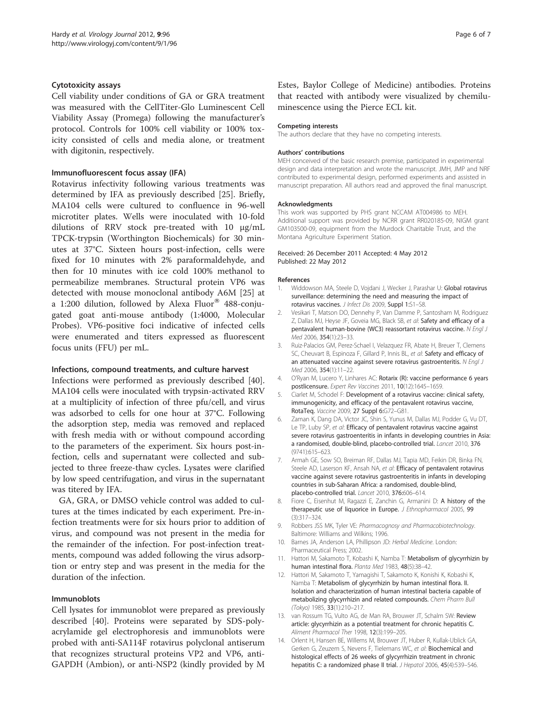#### <span id="page-5-0"></span>Cytotoxicity assays

Cell viability under conditions of GA or GRA treatment was measured with the CellTiter-Glo Luminescent Cell Viability Assay (Promega) following the manufacturer's protocol. Controls for 100% cell viability or 100% toxicity consisted of cells and media alone, or treatment with digitonin, respectively.

#### Immunofluorescent focus assay (IFA)

Rotavirus infectivity following various treatments was determined by IFA as previously described [\[25\]](#page-6-0). Briefly, MA104 cells were cultured to confluence in 96-well microtiter plates. Wells were inoculated with 10-fold dilutions of RRV stock pre-treated with 10 μg/mL TPCK-trypsin (Worthington Biochemicals) for 30 minutes at 37°C. Sixteen hours post-infection, cells were fixed for 10 minutes with 2% paraformaldehyde, and then for 10 minutes with ice cold 100% methanol to permeabilize membranes. Structural protein VP6 was detected with mouse monoclonal antibody A6M [\[25](#page-6-0)] at a 1:200 dilution, followed by Alexa Fluor® 488-conjugated goat anti-mouse antibody (1:4000, Molecular Probes). VP6-positive foci indicative of infected cells were enumerated and titers expressed as fluorescent focus units (FFU) per mL.

#### Infections, compound treatments, and culture harvest

Infections were performed as previously described [\[40](#page-6-0)]. MA104 cells were inoculated with trypsin-activated RRV at a multiplicity of infection of three pfu/cell, and virus was adsorbed to cells for one hour at 37°C. Following the adsorption step, media was removed and replaced with fresh media with or without compound according to the parameters of the experiment. Six hours post-infection, cells and supernatant were collected and subjected to three freeze-thaw cycles. Lysates were clarified by low speed centrifugation, and virus in the supernatant was titered by IFA.

GA, GRA, or DMSO vehicle control was added to cultures at the times indicated by each experiment. Pre-infection treatments were for six hours prior to addition of virus, and compound was not present in the media for the remainder of the infection. For post-infection treatments, compound was added following the virus adsorption or entry step and was present in the media for the duration of the infection.

#### Immunoblots

Cell lysates for immunoblot were prepared as previously described [\[40](#page-6-0)]. Proteins were separated by SDS-polyacrylamide gel electrophoresis and immunoblots were probed with anti-SA114F rotavirus polyclonal antiserum that recognizes structural proteins VP2 and VP6, anti-GAPDH (Ambion), or anti-NSP2 (kindly provided by M

Estes, Baylor College of Medicine) antibodies. Proteins that reacted with antibody were visualized by chemiluminescence using the Pierce ECL kit.

#### Competing interests

The authors declare that they have no competing interests.

#### Authors' contributions

MEH conceived of the basic research premise, participated in experimental design and data interpretation and wrote the manuscript. JMH, JMP and NRF contributed to experimental design, performed experiments and assisted in manuscript preparation. All authors read and approved the final manuscript.

#### Acknowledgments

This work was supported by PHS grant NCCAM AT004986 to MEH. Additional support was provided by NCRR grant RR020185-09, NIGM grant GM103500-09, equipment from the Murdock Charitable Trust, and the Montana Agriculture Experiment Station.

#### Received: 26 December 2011 Accepted: 4 May 2012 Published: 22 May 2012

#### References

- Widdowson MA, Steele D, Vojdani J, Wecker J, Parashar U: Global rotavirus surveillance: determining the need and measuring the impact of rotavirus vaccines. J Infect Dis 2009, Suppl 1:S1–S8.
- 2. Vesikari T, Matson DO, Dennehy P, Van Damme P, Santosham M, Rodriguez Z, Dallas MJ, Heyse JF, Goveia MG, Black SB, et al: Safety and efficacy of a pentavalent human-bovine (WC3) reassortant rotavirus vaccine. N Engl J Med 2006, 354(1):23–33.
- 3. Ruiz-Palacios GM, Perez-Schael I, Velazquez FR, Abate H, Breuer T, Clemens SC, Cheuvart B, Espinoza F, Gillard P, Innis BL, et al: Safety and efficacy of an attenuated vaccine against severe rotavirus gastroenteritis. N Engl J Med 2006, 354(1):11–22.
- 4. O'Ryan M, Lucero Y, Linhares AC: Rotarix (R): vaccine performance 6 years postlicensure. Expert Rev Vaccines 2011, 10(12):1645–1659.
- 5. Ciarlet M, Schodel F: Development of a rotavirus vaccine: clinical safety, immunogenicity, and efficacy of the pentavalent rotavirus vaccine, RotaTeq. Vaccine 2009, 27 Suppl 6:G72–G81.
- Zaman K, Dang DA, Victor JC, Shin S, Yunus M, Dallas MJ, Podder G, Vu DT, Le TP, Luby SP, et al: Efficacy of pentavalent rotavirus vaccine against severe rotavirus gastroenteritis in infants in developing countries in Asia: a randomised, double-blind, placebo-controlled trial. Lancet 2010, 376 (9741):615–623.
- 7. Armah GE, Sow SO, Breiman RF, Dallas MJ, Tapia MD, Feikin DR, Binka FN, Steele AD, Laserson KF, Ansah NA, et al: Efficacy of pentavalent rotavirus vaccine against severe rotavirus gastroenteritis in infants in developing countries in sub-Saharan Africa: a randomised, double-blind, placebo-controlled trial. Lancet 2010, 376:606–614.
- 8. Fiore C, Eisenhut M, Ragazzi E, Zanchin G, Armanini D: A history of the therapeutic use of liquorice in Europe. *J Ethnopharmacol* 2005, 99 (3):317–324.
- 9. Robbers JSS MK, Tyler VE: Pharmacognosy and Pharmacobiotechnology. Baltimore: Williams and Wilkins; 1996.
- 10. Barnes JA, Anderson LA, Phillipson JD: Herbal Medicine. London: Pharmaceutical Press; 2002.
- 11. Hattori M, Sakamoto T, Kobashi K, Namba T: Metabolism of glycyrrhizin by human intestinal flora. Planta Med 1983, 48(5):38–42.
- 12. Hattori M, Sakamoto T, Yamagishi T, Sakamoto K, Konishi K, Kobashi K, Namba T: Metabolism of glycyrrhizin by human intestinal flora. II. Isolation and characterization of human intestinal bacteria capable of metabolizing glycyrrhizin and related compounds. Chem Pharm Bull (Tokyo) 1985, 33(1):210–217.
- 13. van Rossum TG, Vulto AG, de Man RA, Brouwer JT, Schalm SW: Review article: glycyrrhizin as a potential treatment for chronic hepatitis C. Aliment Pharmacol Ther 1998, 12(3):199–205.
- 14. Orlent H, Hansen BE, Willems M, Brouwer JT, Huber R, Kullak-Ublick GA, Gerken G, Zeuzem S, Nevens F, Tielemans WC, et al: Biochemical and histological effects of 26 weeks of glycyrrhizin treatment in chronic hepatitis C: a randomized phase II trial. J Hepatol 2006, 45(4):539-546.